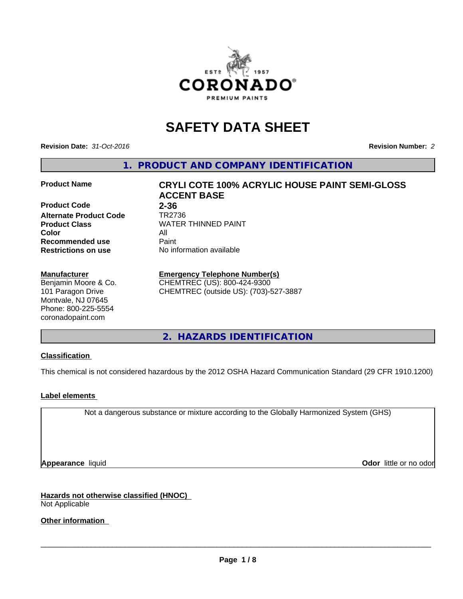

# **SAFETY DATA SHEET**

**Revision Date:** *31-Oct-2016* **Revision Number:** *2*

**1. PRODUCT AND COMPANY IDENTIFICATION**

## **Product Code 2-36**

**Alternate Product Code TR2736**<br>**Product Class** WATER **Color** All **Recommended use** Paint<br> **Restrictions on use** No inf

#### **Manufacturer**

Benjamin Moore & Co. 101 Paragon Drive Montvale, NJ 07645 Phone: 800-225-5554 coronadopaint.com

**Product Name CRYLI COTE 100% ACRYLIC HOUSE PAINT SEMI-GLOSS ACCENT BASE Product Class** WATER THINNED PAINT<br>
Color **No information available** 

## **Emergency Telephone Number(s)**

CHEMTREC (US): 800-424-9300 CHEMTREC (outside US): (703)-527-3887

**2. HAZARDS IDENTIFICATION**

### **Classification**

This chemical is not considered hazardous by the 2012 OSHA Hazard Communication Standard (29 CFR 1910.1200)

### **Label elements**

Not a dangerous substance or mixture according to the Globally Harmonized System (GHS)

**Appearance** liquid **Odor in the original of the original of the original of the original of the original of the original of the original of the original of the original of the original of the original of the original of t** 

**Hazards not otherwise classified (HNOC)** Not Applicable

**Other information**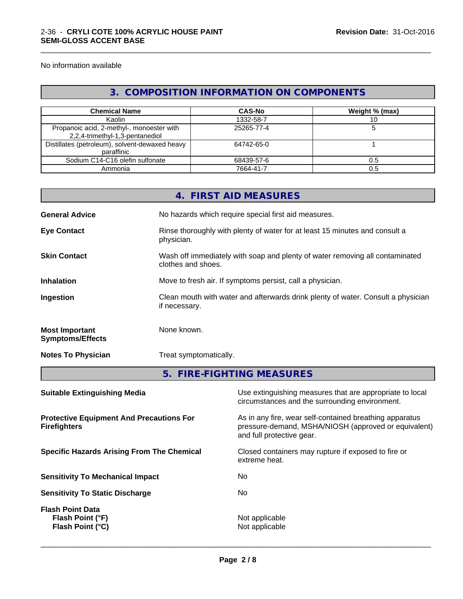No information available

## **3. COMPOSITION INFORMATION ON COMPONENTS**

\_\_\_\_\_\_\_\_\_\_\_\_\_\_\_\_\_\_\_\_\_\_\_\_\_\_\_\_\_\_\_\_\_\_\_\_\_\_\_\_\_\_\_\_\_\_\_\_\_\_\_\_\_\_\_\_\_\_\_\_\_\_\_\_\_\_\_\_\_\_\_\_\_\_\_\_\_\_\_\_\_\_\_\_\_\_\_\_\_\_\_\_\_

| <b>Chemical Name</b>                                                         | <b>CAS-No</b> | Weight % (max) |
|------------------------------------------------------------------------------|---------------|----------------|
| Kaolin                                                                       | 1332-58-7     |                |
| Propanoic acid, 2-methyl-, monoester with<br>2,2,4-trimethyl-1,3-pentanediol | 25265-77-4    |                |
| Distillates (petroleum), solvent-dewaxed heavy<br>paraffinic                 | 64742-65-0    |                |
| Sodium C14-C16 olefin sulfonate                                              | 68439-57-6    | 0.5            |
| Ammonia                                                                      | 7664-41-7     |                |

| <b>General Advice</b><br>No hazards which require special first aid measures.<br>Rinse thoroughly with plenty of water for at least 15 minutes and consult a<br><b>Eye Contact</b><br>physician.<br><b>Skin Contact</b><br>Wash off immediately with soap and plenty of water removing all contaminated<br>clothes and shoes.<br>Move to fresh air. If symptoms persist, call a physician.<br><b>Inhalation</b><br>Clean mouth with water and afterwards drink plenty of water. Consult a physician<br>Ingestion<br>if necessary.<br>None known.<br><b>Most Important</b><br><b>Symptoms/Effects</b><br><b>Notes To Physician</b><br>Treat symptomatically.<br>5. FIRE-FIGHTING MEASURES |
|------------------------------------------------------------------------------------------------------------------------------------------------------------------------------------------------------------------------------------------------------------------------------------------------------------------------------------------------------------------------------------------------------------------------------------------------------------------------------------------------------------------------------------------------------------------------------------------------------------------------------------------------------------------------------------------|
|                                                                                                                                                                                                                                                                                                                                                                                                                                                                                                                                                                                                                                                                                          |
|                                                                                                                                                                                                                                                                                                                                                                                                                                                                                                                                                                                                                                                                                          |
|                                                                                                                                                                                                                                                                                                                                                                                                                                                                                                                                                                                                                                                                                          |
|                                                                                                                                                                                                                                                                                                                                                                                                                                                                                                                                                                                                                                                                                          |
|                                                                                                                                                                                                                                                                                                                                                                                                                                                                                                                                                                                                                                                                                          |
|                                                                                                                                                                                                                                                                                                                                                                                                                                                                                                                                                                                                                                                                                          |
|                                                                                                                                                                                                                                                                                                                                                                                                                                                                                                                                                                                                                                                                                          |
|                                                                                                                                                                                                                                                                                                                                                                                                                                                                                                                                                                                                                                                                                          |
| Use extinguishing measures that are appropriate to local<br><b>Suitable Extinguishing Media</b><br>circumstances and the surrounding environment.                                                                                                                                                                                                                                                                                                                                                                                                                                                                                                                                        |
| As in any fire, wear self-contained breathing apparatus<br><b>Protective Equipment And Precautions For</b><br>pressure-demand, MSHA/NIOSH (approved or equivalent)<br><b>Firefighters</b><br>and full protective gear.                                                                                                                                                                                                                                                                                                                                                                                                                                                                   |
|                                                                                                                                                                                                                                                                                                                                                                                                                                                                                                                                                                                                                                                                                          |

**Sensitivity To Mechanical Impact** No

**Sensitivity To Static Discharge** No

**Flash Point Data Flash Point (°F)**<br> **Flash Point (°C)**<br> **Flash Point (°C)**<br> **C Flash Point (°C)**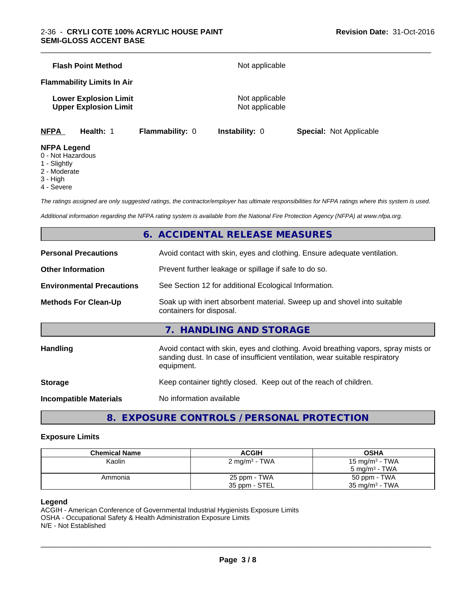|                    | <b>Flash Point Method</b>                                    |                        | Not applicable                   |                                |  |
|--------------------|--------------------------------------------------------------|------------------------|----------------------------------|--------------------------------|--|
|                    | <b>Flammability Limits In Air</b>                            |                        |                                  |                                |  |
|                    | <b>Lower Explosion Limit</b><br><b>Upper Explosion Limit</b> |                        | Not applicable<br>Not applicable |                                |  |
| <b>NFPA</b>        | Health: 1                                                    | <b>Flammability: 0</b> | <b>Instability: 0</b>            | <b>Special: Not Applicable</b> |  |
| <b>NFPA Legend</b> |                                                              |                        |                                  |                                |  |

## 0 - Not Hazardous

- 1 Slightly
- 
- 2 Moderate
- 3 High
- 4 Severe

*The ratings assigned are only suggested ratings, the contractor/employer has ultimate responsibilities for NFPA ratings where this system is used.*

*Additional information regarding the NFPA rating system is available from the National Fire Protection Agency (NFPA) at www.nfpa.org.*

## **6. ACCIDENTAL RELEASE MEASURES**

| <b>Personal Precautions</b>      | Avoid contact with skin, eyes and clothing. Ensure adequate ventilation.                                                                                                         |  |  |
|----------------------------------|----------------------------------------------------------------------------------------------------------------------------------------------------------------------------------|--|--|
| <b>Other Information</b>         | Prevent further leakage or spillage if safe to do so.                                                                                                                            |  |  |
| <b>Environmental Precautions</b> | See Section 12 for additional Ecological Information.                                                                                                                            |  |  |
| <b>Methods For Clean-Up</b>      | Soak up with inert absorbent material. Sweep up and shovel into suitable<br>containers for disposal.                                                                             |  |  |
|                                  | 7. HANDLING AND STORAGE                                                                                                                                                          |  |  |
| <b>Handling</b>                  | Avoid contact with skin, eyes and clothing. Avoid breathing vapors, spray mists or<br>sanding dust. In case of insufficient ventilation, wear suitable respiratory<br>equipment. |  |  |
| <b>Storage</b>                   | Keep container tightly closed. Keep out of the reach of children.                                                                                                                |  |  |
| <b>Incompatible Materials</b>    | No information available                                                                                                                                                         |  |  |
|                                  |                                                                                                                                                                                  |  |  |

**8. EXPOSURE CONTROLS / PERSONAL PROTECTION**

#### **Exposure Limits**

| <b>Chemical Name</b> | <b>ACGIH</b>              | <b>OSHA</b>                |
|----------------------|---------------------------|----------------------------|
| Kaolin               | 2 mg/m <sup>3</sup> - TWA | 15 mg/m <sup>3</sup> - TWA |
|                      |                           | $5 \text{ ma/m}^3$ - TWA   |
| Ammonia              | 25 ppm - TWA              | 50 ppm - TWA               |
|                      | 35 ppm - STEL             | $35 \text{ mg/m}^3$ - TWA  |

#### **Legend**

ACGIH - American Conference of Governmental Industrial Hygienists Exposure Limits OSHA - Occupational Safety & Health Administration Exposure Limits N/E - Not Established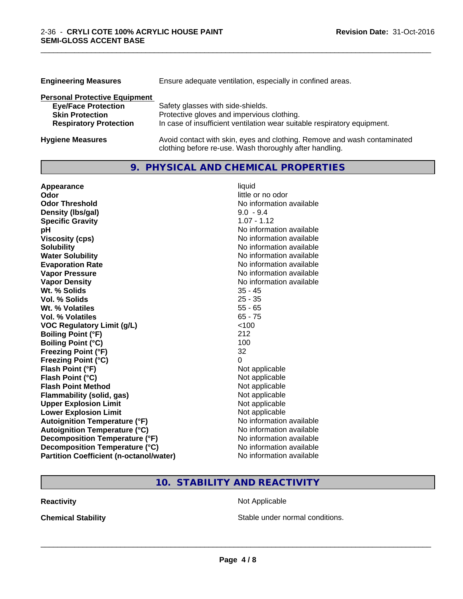| Ensure adequate ventilation, especially in confined areas.<br><b>Engineering Measures</b> |                                                                                                                                     |  |
|-------------------------------------------------------------------------------------------|-------------------------------------------------------------------------------------------------------------------------------------|--|
| <b>Personal Protective Equipment</b>                                                      |                                                                                                                                     |  |
| <b>Eye/Face Protection</b>                                                                | Safety glasses with side-shields.                                                                                                   |  |
| <b>Skin Protection</b>                                                                    | Protective gloves and impervious clothing.                                                                                          |  |
| <b>Respiratory Protection</b>                                                             | In case of insufficient ventilation wear suitable respiratory equipment.                                                            |  |
| <b>Hygiene Measures</b>                                                                   | Avoid contact with skin, eyes and clothing. Remove and wash contaminated<br>clothing before re-use. Wash thoroughly after handling. |  |

## **9. PHYSICAL AND CHEMICAL PROPERTIES**

\_\_\_\_\_\_\_\_\_\_\_\_\_\_\_\_\_\_\_\_\_\_\_\_\_\_\_\_\_\_\_\_\_\_\_\_\_\_\_\_\_\_\_\_\_\_\_\_\_\_\_\_\_\_\_\_\_\_\_\_\_\_\_\_\_\_\_\_\_\_\_\_\_\_\_\_\_\_\_\_\_\_\_\_\_\_\_\_\_\_\_\_\_

| Appearance                                     | liquid                   |
|------------------------------------------------|--------------------------|
| Odor                                           | little or no odor        |
| <b>Odor Threshold</b>                          | No information available |
| Density (Ibs/gal)                              | $9.0 - 9.4$              |
| <b>Specific Gravity</b>                        | $1.07 - 1.12$            |
| рH                                             | No information available |
| <b>Viscosity (cps)</b>                         | No information available |
| <b>Solubility</b>                              | No information available |
| <b>Water Solubility</b>                        | No information available |
| <b>Evaporation Rate</b>                        | No information available |
| <b>Vapor Pressure</b>                          | No information available |
| <b>Vapor Density</b>                           | No information available |
| Wt. % Solids                                   | $35 - 45$                |
| Vol. % Solids                                  | $25 - 35$                |
| Wt. % Volatiles                                | $55 - 65$                |
| <b>Vol. % Volatiles</b>                        | $65 - 75$                |
| <b>VOC Regulatory Limit (g/L)</b>              | $<$ 100                  |
| <b>Boiling Point (°F)</b>                      | 212                      |
| <b>Boiling Point (°C)</b>                      | 100                      |
| <b>Freezing Point (°F)</b>                     | 32                       |
| <b>Freezing Point (°C)</b>                     | 0                        |
| Flash Point (°F)                               | Not applicable           |
| Flash Point (°C)                               | Not applicable           |
| <b>Flash Point Method</b>                      | Not applicable           |
| Flammability (solid, gas)                      | Not applicable           |
| <b>Upper Explosion Limit</b>                   | Not applicable           |
| <b>Lower Explosion Limit</b>                   | Not applicable           |
| <b>Autoignition Temperature (°F)</b>           | No information available |
| <b>Autoignition Temperature (°C)</b>           | No information available |
| Decomposition Temperature (°F)                 | No information available |
| Decomposition Temperature (°C)                 | No information available |
| <b>Partition Coefficient (n-octanol/water)</b> | No information available |

## **10. STABILITY AND REACTIVITY**

**Reactivity Not Applicable** Not Applicable

**Chemical Stability Chemical Stability** Stable under normal conditions.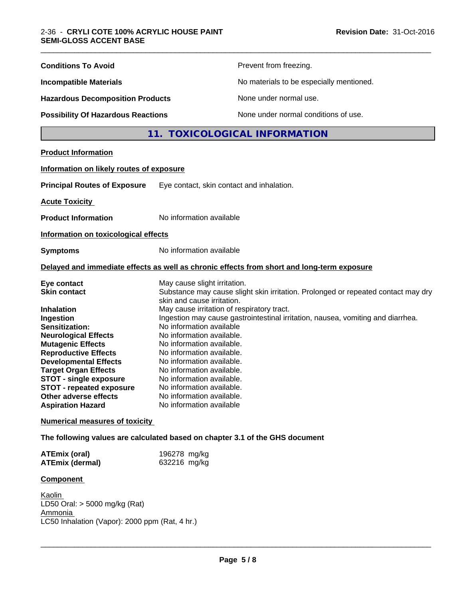| <b>Conditions To Avoid</b>                                                                                                                                                                                                                                                                                                         |                                                                                                                                                                                                                                                                                                                                            | Prevent from freezing.                                                                     |
|------------------------------------------------------------------------------------------------------------------------------------------------------------------------------------------------------------------------------------------------------------------------------------------------------------------------------------|--------------------------------------------------------------------------------------------------------------------------------------------------------------------------------------------------------------------------------------------------------------------------------------------------------------------------------------------|--------------------------------------------------------------------------------------------|
| <b>Incompatible Materials</b>                                                                                                                                                                                                                                                                                                      | No materials to be especially mentioned.                                                                                                                                                                                                                                                                                                   |                                                                                            |
| <b>Hazardous Decomposition Products</b>                                                                                                                                                                                                                                                                                            |                                                                                                                                                                                                                                                                                                                                            | None under normal use.                                                                     |
| <b>Possibility Of Hazardous Reactions</b>                                                                                                                                                                                                                                                                                          |                                                                                                                                                                                                                                                                                                                                            | None under normal conditions of use.                                                       |
|                                                                                                                                                                                                                                                                                                                                    |                                                                                                                                                                                                                                                                                                                                            | 11. TOXICOLOGICAL INFORMATION                                                              |
| <b>Product Information</b>                                                                                                                                                                                                                                                                                                         |                                                                                                                                                                                                                                                                                                                                            |                                                                                            |
| Information on likely routes of exposure                                                                                                                                                                                                                                                                                           |                                                                                                                                                                                                                                                                                                                                            |                                                                                            |
| <b>Principal Routes of Exposure</b>                                                                                                                                                                                                                                                                                                | Eye contact, skin contact and inhalation.                                                                                                                                                                                                                                                                                                  |                                                                                            |
| <b>Acute Toxicity</b>                                                                                                                                                                                                                                                                                                              |                                                                                                                                                                                                                                                                                                                                            |                                                                                            |
| <b>Product Information</b>                                                                                                                                                                                                                                                                                                         | No information available                                                                                                                                                                                                                                                                                                                   |                                                                                            |
| Information on toxicological effects                                                                                                                                                                                                                                                                                               |                                                                                                                                                                                                                                                                                                                                            |                                                                                            |
| <b>Symptoms</b>                                                                                                                                                                                                                                                                                                                    | No information available                                                                                                                                                                                                                                                                                                                   |                                                                                            |
|                                                                                                                                                                                                                                                                                                                                    |                                                                                                                                                                                                                                                                                                                                            | Delayed and immediate effects as well as chronic effects from short and long-term exposure |
| Eye contact<br><b>Skin contact</b>                                                                                                                                                                                                                                                                                                 | May cause slight irritation.<br>skin and cause irritation.                                                                                                                                                                                                                                                                                 | Substance may cause slight skin irritation. Prolonged or repeated contact may dry          |
| <b>Inhalation</b><br>Ingestion<br>Sensitization:<br><b>Neurological Effects</b><br><b>Mutagenic Effects</b><br><b>Reproductive Effects</b><br><b>Developmental Effects</b><br><b>Target Organ Effects</b><br><b>STOT - single exposure</b><br><b>STOT - repeated exposure</b><br>Other adverse effects<br><b>Aspiration Hazard</b> | May cause irritation of respiratory tract.<br>No information available<br>No information available.<br>No information available.<br>No information available.<br>No information available.<br>No information available.<br>No information available.<br>No information available.<br>No information available.<br>No information available | Ingestion may cause gastrointestinal irritation, nausea, vomiting and diarrhea.            |
| <b>Numerical measures of toxicity</b>                                                                                                                                                                                                                                                                                              |                                                                                                                                                                                                                                                                                                                                            |                                                                                            |
| The following values are calculated based on chapter 3.1 of the GHS document                                                                                                                                                                                                                                                       |                                                                                                                                                                                                                                                                                                                                            |                                                                                            |
| <b>ATEmix (oral)</b><br><b>ATEmix (dermal)</b>                                                                                                                                                                                                                                                                                     | 196278 mg/kg<br>632216 mg/kg                                                                                                                                                                                                                                                                                                               |                                                                                            |
| Component                                                                                                                                                                                                                                                                                                                          |                                                                                                                                                                                                                                                                                                                                            |                                                                                            |
| Kaolin<br>LD50 Oral: > 5000 mg/kg (Rat)<br>Ammonia<br>LC50 Inhalation (Vapor): 2000 ppm (Rat, 4 hr.)                                                                                                                                                                                                                               |                                                                                                                                                                                                                                                                                                                                            |                                                                                            |
|                                                                                                                                                                                                                                                                                                                                    |                                                                                                                                                                                                                                                                                                                                            |                                                                                            |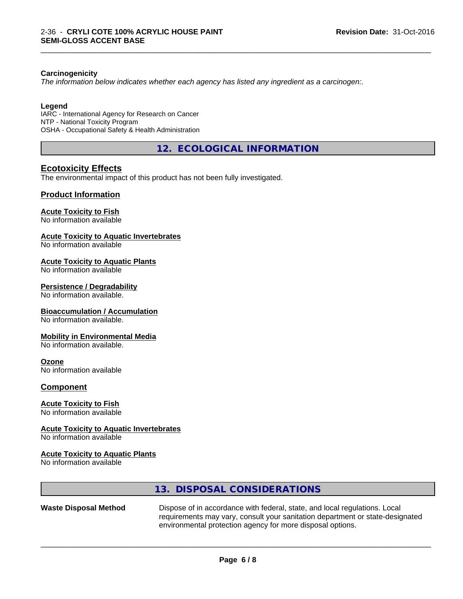#### **Carcinogenicity**

*The information below indicateswhether each agency has listed any ingredient as a carcinogen:.*

#### **Legend**

IARC - International Agency for Research on Cancer NTP - National Toxicity Program OSHA - Occupational Safety & Health Administration

**12. ECOLOGICAL INFORMATION**

\_\_\_\_\_\_\_\_\_\_\_\_\_\_\_\_\_\_\_\_\_\_\_\_\_\_\_\_\_\_\_\_\_\_\_\_\_\_\_\_\_\_\_\_\_\_\_\_\_\_\_\_\_\_\_\_\_\_\_\_\_\_\_\_\_\_\_\_\_\_\_\_\_\_\_\_\_\_\_\_\_\_\_\_\_\_\_\_\_\_\_\_\_

## **Ecotoxicity Effects**

The environmental impact of this product has not been fully investigated.

### **Product Information**

### **Acute Toxicity to Fish**

No information available

#### **Acute Toxicity to Aquatic Invertebrates**

No information available

#### **Acute Toxicity to Aquatic Plants**

No information available

#### **Persistence / Degradability**

No information available.

#### **Bioaccumulation / Accumulation**

No information available.

#### **Mobility in Environmental Media**

No information available.

### **Ozone**

No information available

#### **Component**

#### **Acute Toxicity to Fish**

No information available

#### **Acute Toxicity to Aquatic Invertebrates**

No information available

#### **Acute Toxicity to Aquatic Plants**

No information available

|                              | 13. DISPOSAL CONSIDERATIONS                                                                                                                                                                                               |
|------------------------------|---------------------------------------------------------------------------------------------------------------------------------------------------------------------------------------------------------------------------|
| <b>Waste Disposal Method</b> | Dispose of in accordance with federal, state, and local regulations. Local<br>requirements may vary, consult your sanitation department or state-designated<br>environmental protection agency for more disposal options. |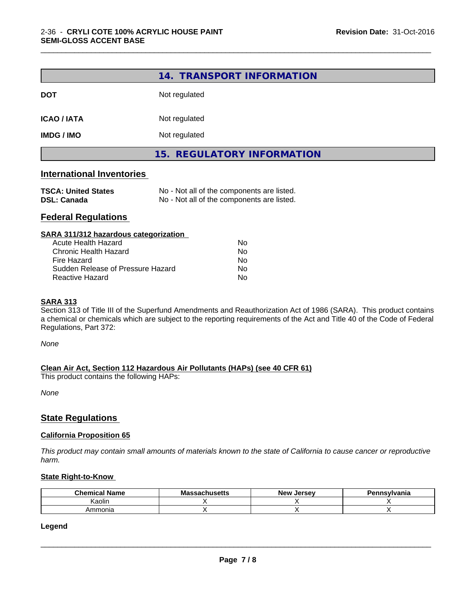|                                                  | 14. TRANSPORT INFORMATION                                                                |
|--------------------------------------------------|------------------------------------------------------------------------------------------|
| <b>DOT</b>                                       | Not regulated                                                                            |
| <b>ICAO / IATA</b>                               | Not regulated                                                                            |
| <b>IMDG / IMO</b>                                | Not regulated                                                                            |
|                                                  | 15. REGULATORY INFORMATION                                                               |
| <b>International Inventories</b>                 |                                                                                          |
| <b>TSCA: United States</b><br><b>DSL: Canada</b> | No - Not all of the components are listed.<br>No - Not all of the components are listed. |
| <b>Federal Regulations</b>                       |                                                                                          |
| SARA 311/312 hazardous categorization            |                                                                                          |
| <b>Acute Health Hazard</b>                       | No                                                                                       |
| <b>Chronic Health Hazard</b>                     | No                                                                                       |
| Fire Hazard                                      | N۵                                                                                       |

\_\_\_\_\_\_\_\_\_\_\_\_\_\_\_\_\_\_\_\_\_\_\_\_\_\_\_\_\_\_\_\_\_\_\_\_\_\_\_\_\_\_\_\_\_\_\_\_\_\_\_\_\_\_\_\_\_\_\_\_\_\_\_\_\_\_\_\_\_\_\_\_\_\_\_\_\_\_\_\_\_\_\_\_\_\_\_\_\_\_\_\_\_

| Acute Health Hazard               | N٥ |
|-----------------------------------|----|
| Chronic Health Hazard             | Nο |
| Fire Hazard                       | Nο |
| Sudden Release of Pressure Hazard | Nο |
| Reactive Hazard                   | Nο |

#### **SARA 313**

Section 313 of Title III of the Superfund Amendments and Reauthorization Act of 1986 (SARA). This product contains a chemical or chemicals which are subject to the reporting requirements of the Act and Title 40 of the Code of Federal Regulations, Part 372:

*None*

#### **Clean Air Act,Section 112 Hazardous Air Pollutants (HAPs) (see 40 CFR 61)**

This product contains the following HAPs:

*None*

### **State Regulations**

#### **California Proposition 65**

This product may contain small amounts of materials known to the state of California to cause cancer or reproductive *harm.*

#### **State Right-to-Know**

| .<br>Chemical<br>Name | <b>Massachusetts</b> | Jersev<br><b>New</b> | Pennsylvania |
|-----------------------|----------------------|----------------------|--------------|
| .<br>Kaolir           |                      |                      |              |
| mmonia                |                      |                      |              |

#### **Legend**